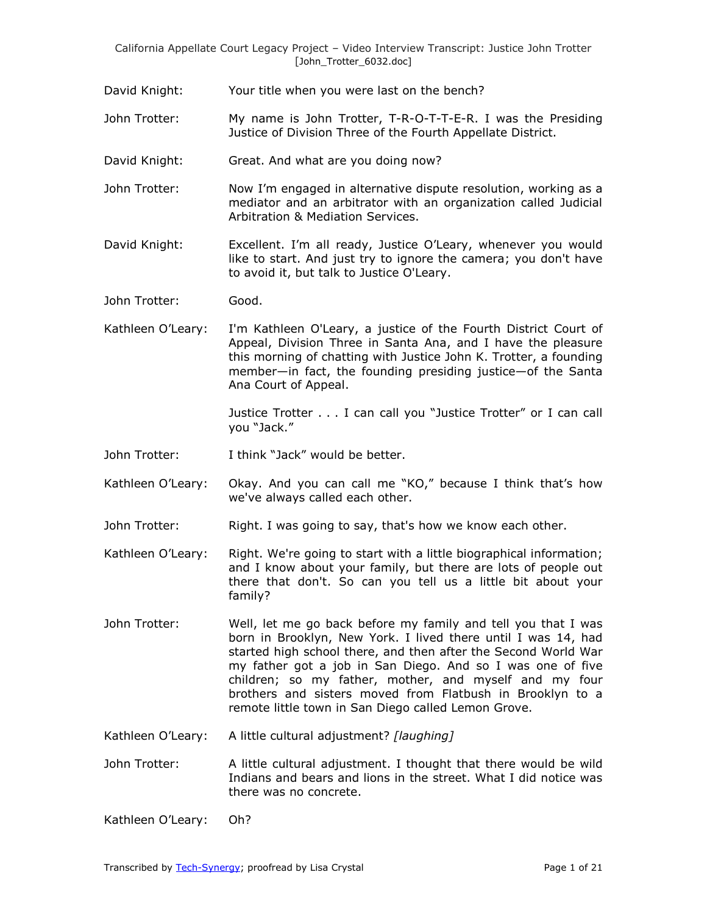David Knight: Your title when you were last on the bench?

- John Trotter: My name is John Trotter, T-R-O-T-T-E-R. I was the Presiding Justice of Division Three of the Fourth Appellate District.
- David Knight: Great. And what are you doing now?
- John Trotter: Now I'm engaged in alternative dispute resolution, working as a mediator and an arbitrator with an organization called Judicial Arbitration & Mediation Services.
- David Knight: Excellent. I'm all ready, Justice O'Leary, whenever you would like to start. And just try to ignore the camera; you don't have to avoid it, but talk to Justice O'Leary.
- John Trotter: Good.
- Kathleen O'Leary: I'm Kathleen O'Leary, a justice of the Fourth District Court of Appeal, Division Three in Santa Ana, and I have the pleasure this morning of chatting with Justice John K. Trotter, a founding member—in fact, the founding presiding justice—of the Santa Ana Court of Appeal.

Justice Trotter . . . I can call you "Justice Trotter" or I can call you "Jack."

- John Trotter: I think "Jack" would be better.
- Kathleen O'Leary: Okay. And you can call me "KO," because I think that's how we've always called each other.
- John Trotter: Right. I was going to say, that's how we know each other.
- Kathleen O'Leary: Right. We're going to start with a little biographical information; and I know about your family, but there are lots of people out there that don't. So can you tell us a little bit about your family?
- John Trotter: Well, let me go back before my family and tell you that I was born in Brooklyn, New York. I lived there until I was 14, had started high school there, and then after the Second World War my father got a job in San Diego. And so I was one of five children; so my father, mother, and myself and my four brothers and sisters moved from Flatbush in Brooklyn to a remote little town in San Diego called Lemon Grove.
- Kathleen O'Leary: A little cultural adjustment? *[laughing]*
- John Trotter: A little cultural adjustment. I thought that there would be wild Indians and bears and lions in the street. What I did notice was there was no concrete.

Kathleen O'Leary: Oh?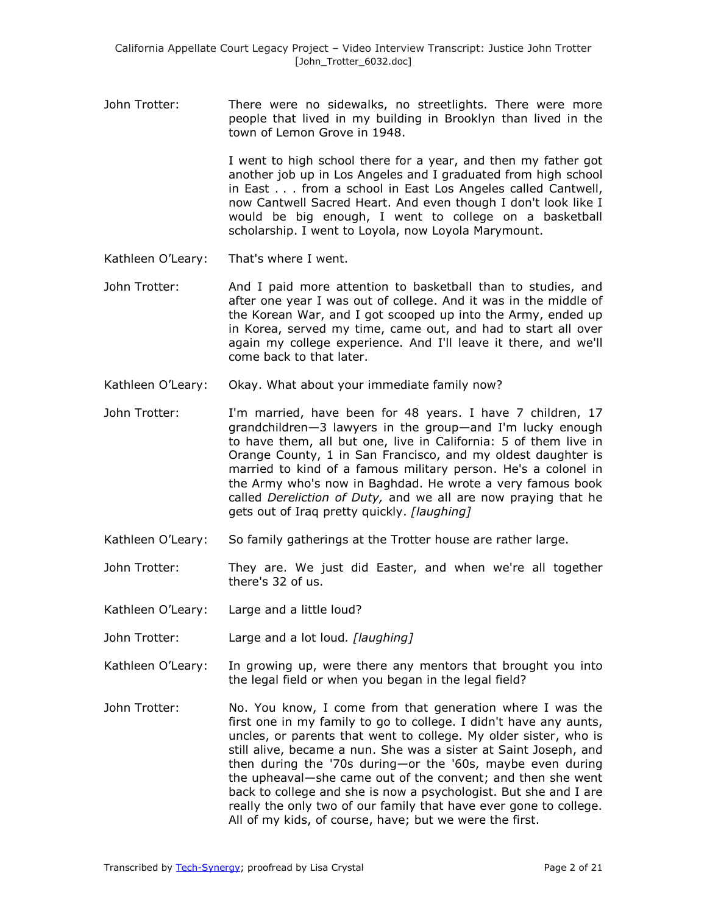John Trotter: There were no sidewalks, no streetlights. There were more people that lived in my building in Brooklyn than lived in the town of Lemon Grove in 1948.

> I went to high school there for a year, and then my father got another job up in Los Angeles and I graduated from high school in East . . . from a school in East Los Angeles called Cantwell, now Cantwell Sacred Heart. And even though I don't look like I would be big enough, I went to college on a basketball scholarship. I went to Loyola, now Loyola Marymount.

- Kathleen O'Leary: That's where I went.
- John Trotter: And I paid more attention to basketball than to studies, and after one year I was out of college. And it was in the middle of the Korean War, and I got scooped up into the Army, ended up in Korea, served my time, came out, and had to start all over again my college experience. And I'll leave it there, and we'll come back to that later.
- Kathleen O'Leary: Okay. What about your immediate family now?
- John Trotter: I'm married, have been for 48 years. I have 7 children, 17 grandchildren—3 lawyers in the group—and I'm lucky enough to have them, all but one, live in California: 5 of them live in Orange County, 1 in San Francisco, and my oldest daughter is married to kind of a famous military person. He's a colonel in the Army who's now in Baghdad. He wrote a very famous book called *Dereliction of Duty,* and we all are now praying that he gets out of Iraq pretty quickly. *[laughing]*
- Kathleen O'Leary: So family gatherings at the Trotter house are rather large.
- John Trotter: They are. We just did Easter, and when we're all together there's 32 of us.
- Kathleen O'Leary: Large and a little loud?
- John Trotter: Large and a lot loud*. [laughing]*
- Kathleen O'Leary: In growing up, were there any mentors that brought you into the legal field or when you began in the legal field?
- John Trotter: No. You know, I come from that generation where I was the first one in my family to go to college. I didn't have any aunts, uncles, or parents that went to college. My older sister, who is still alive, became a nun. She was a sister at Saint Joseph, and then during the '70s during—or the '60s, maybe even during the upheaval—she came out of the convent; and then she went back to college and she is now a psychologist. But she and I are really the only two of our family that have ever gone to college. All of my kids, of course, have; but we were the first.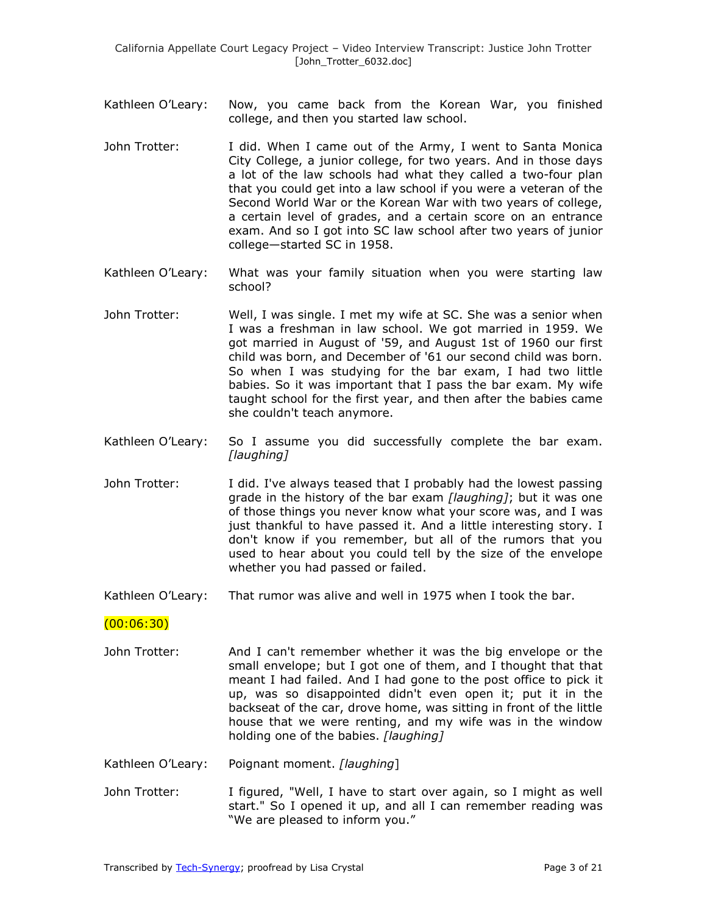- Kathleen O'Leary: Now, you came back from the Korean War, you finished college, and then you started law school.
- John Trotter: I did. When I came out of the Army, I went to Santa Monica City College, a junior college, for two years. And in those days a lot of the law schools had what they called a two-four plan that you could get into a law school if you were a veteran of the Second World War or the Korean War with two years of college, a certain level of grades, and a certain score on an entrance exam. And so I got into SC law school after two years of junior college—started SC in 1958.
- Kathleen O'Leary: What was your family situation when you were starting law school?
- John Trotter: Well, I was single. I met my wife at SC. She was a senior when I was a freshman in law school. We got married in 1959. We got married in August of '59, and August 1st of 1960 our first child was born, and December of '61 our second child was born. So when I was studying for the bar exam, I had two little babies. So it was important that I pass the bar exam. My wife taught school for the first year, and then after the babies came she couldn't teach anymore.
- Kathleen O'Leary: So I assume you did successfully complete the bar exam. *[laughing]*
- John Trotter: I did. I've always teased that I probably had the lowest passing grade in the history of the bar exam *[laughing]*; but it was one of those things you never know what your score was, and I was just thankful to have passed it. And a little interesting story. I don't know if you remember, but all of the rumors that you used to hear about you could tell by the size of the envelope whether you had passed or failed.

Kathleen O'Leary: That rumor was alive and well in 1975 when I took the bar.

#### $(00:06:30)$

- John Trotter: And I can't remember whether it was the big envelope or the small envelope; but I got one of them, and I thought that that meant I had failed. And I had gone to the post office to pick it up, was so disappointed didn't even open it; put it in the backseat of the car, drove home, was sitting in front of the little house that we were renting, and my wife was in the window holding one of the babies. *[laughing]*
- Kathleen O'Leary: Poignant moment. *[laughing*]
- John Trotter: I figured, "Well, I have to start over again, so I might as well start." So I opened it up, and all I can remember reading was "We are pleased to inform you."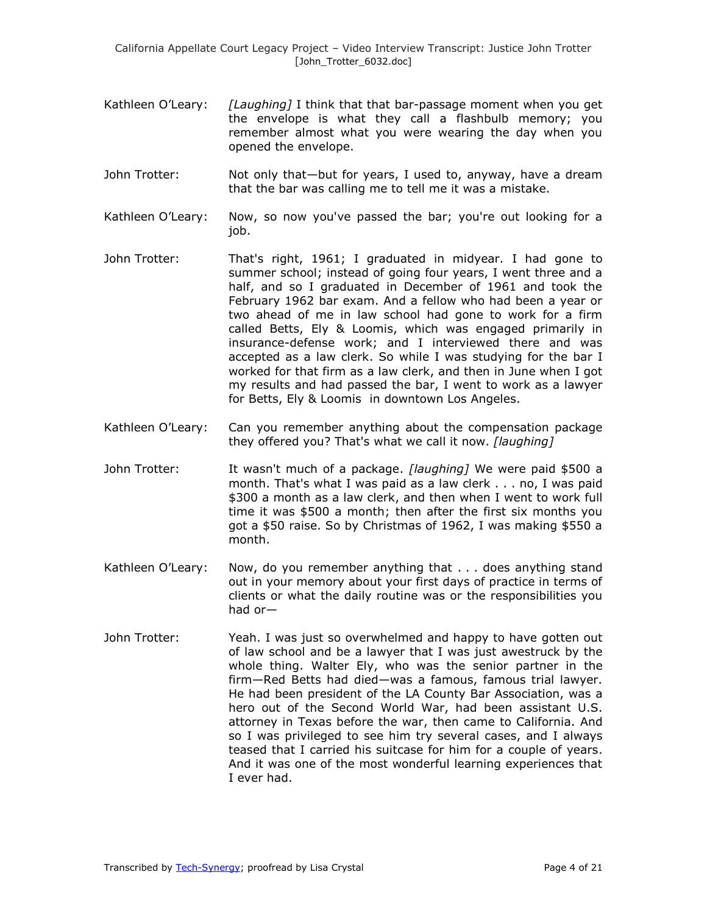- Kathleen O'Leary: *[Laughing]* I think that that bar-passage moment when you get the envelope is what they call a flashbulb memory; you remember almost what you were wearing the day when you opened the envelope.
- John Trotter: Not only that—but for years, I used to, anyway, have a dream that the bar was calling me to tell me it was a mistake.
- Kathleen O'Leary: Now, so now you've passed the bar; you're out looking for a job.
- John Trotter: That's right, 1961; I graduated in midyear. I had gone to summer school; instead of going four years, I went three and a half, and so I graduated in December of 1961 and took the February 1962 bar exam. And a fellow who had been a year or two ahead of me in law school had gone to work for a firm called Betts, Ely & Loomis, which was engaged primarily in insurance-defense work; and I interviewed there and was accepted as a law clerk. So while I was studying for the bar I worked for that firm as a law clerk, and then in June when I got my results and had passed the bar, I went to work as a lawyer for Betts, Ely & Loomis in downtown Los Angeles.
- Kathleen O'Leary: Can you remember anything about the compensation package they offered you? That's what we call it now. *[laughing]*
- John Trotter: It wasn't much of a package. *[laughing]* We were paid \$500 a month. That's what I was paid as a law clerk . . . no, I was paid \$300 a month as a law clerk, and then when I went to work full time it was \$500 a month; then after the first six months you got a \$50 raise. So by Christmas of 1962, I was making \$550 a month.
- Kathleen O'Leary: Now, do you remember anything that . . . does anything stand out in your memory about your first days of practice in terms of clients or what the daily routine was or the responsibilities you had or—
- John Trotter: Yeah. I was just so overwhelmed and happy to have gotten out of law school and be a lawyer that I was just awestruck by the whole thing. Walter Ely, who was the senior partner in the firm—Red Betts had died—was a famous, famous trial lawyer. He had been president of the LA County Bar Association, was a hero out of the Second World War, had been assistant U.S. attorney in Texas before the war, then came to California. And so I was privileged to see him try several cases, and I always teased that I carried his suitcase for him for a couple of years. And it was one of the most wonderful learning experiences that I ever had.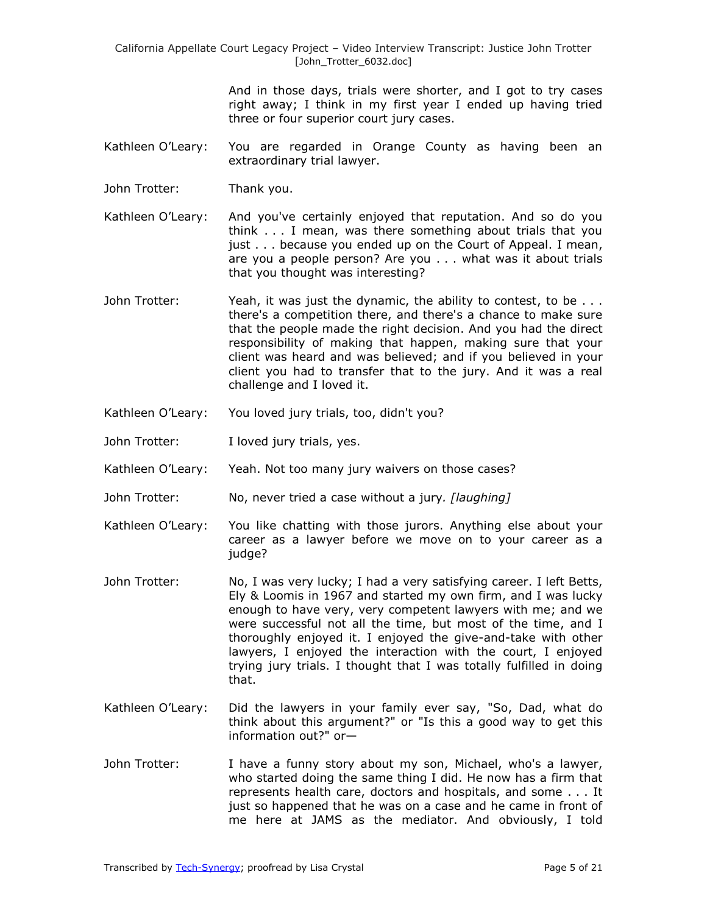> And in those days, trials were shorter, and I got to try cases right away; I think in my first year I ended up having tried three or four superior court jury cases.

- Kathleen O'Leary: You are regarded in Orange County as having been an extraordinary trial lawyer.
- John Trotter: Thank you.
- Kathleen O'Leary: And you've certainly enjoyed that reputation. And so do you think . . . I mean, was there something about trials that you just . . . because you ended up on the Court of Appeal. I mean, are you a people person? Are you . . . what was it about trials that you thought was interesting?
- John Trotter: Yeah, it was just the dynamic, the ability to contest, to be ... there's a competition there, and there's a chance to make sure that the people made the right decision. And you had the direct responsibility of making that happen, making sure that your client was heard and was believed; and if you believed in your client you had to transfer that to the jury. And it was a real challenge and I loved it.
- Kathleen O'Leary: You loved jury trials, too, didn't you?
- John Trotter: I loved jury trials, yes.
- Kathleen O'Leary: Yeah. Not too many jury waivers on those cases?
- John Trotter: No, never tried a case without a jury*. [laughing]*
- Kathleen O'Leary: You like chatting with those jurors. Anything else about your career as a lawyer before we move on to your career as a judge?
- John Trotter: No, I was very lucky; I had a very satisfying career. I left Betts, Ely & Loomis in 1967 and started my own firm, and I was lucky enough to have very, very competent lawyers with me; and we were successful not all the time, but most of the time, and I thoroughly enjoyed it. I enjoyed the give-and-take with other lawyers, I enjoyed the interaction with the court, I enjoyed trying jury trials. I thought that I was totally fulfilled in doing that.
- Kathleen O'Leary: Did the lawyers in your family ever say, "So, Dad, what do think about this argument?" or "Is this a good way to get this information out?" or—
- John Trotter: I have a funny story about my son, Michael, who's a lawyer, who started doing the same thing I did. He now has a firm that represents health care, doctors and hospitals, and some . . . It just so happened that he was on a case and he came in front of me here at JAMS as the mediator. And obviously, I told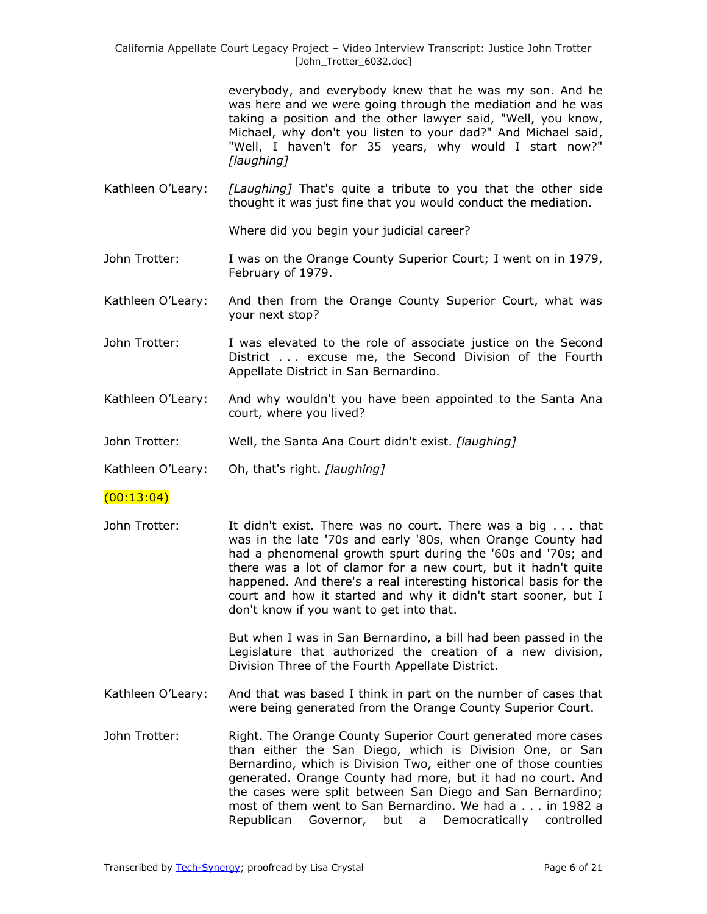> everybody, and everybody knew that he was my son. And he was here and we were going through the mediation and he was taking a position and the other lawyer said, "Well, you know, Michael, why don't you listen to your dad?" And Michael said, "Well, I haven't for 35 years, why would I start now?" *[laughing]*

Kathleen O'Leary: *[Laughing]* That's quite a tribute to you that the other side thought it was just fine that you would conduct the mediation.

Where did you begin your judicial career?

- John Trotter: I was on the Orange County Superior Court; I went on in 1979, February of 1979.
- Kathleen O'Leary: And then from the Orange County Superior Court, what was your next stop?
- John Trotter: I was elevated to the role of associate justice on the Second District . . . excuse me, the Second Division of the Fourth Appellate District in San Bernardino.
- Kathleen O'Leary: And why wouldn't you have been appointed to the Santa Ana court, where you lived?
- John Trotter: Well, the Santa Ana Court didn't exist. *[laughing]*
- Kathleen O'Leary: Oh, that's right. *[laughing]*

### $(00:13:04)$

John Trotter: It didn't exist. There was no court. There was a big . . . that was in the late '70s and early '80s, when Orange County had had a phenomenal growth spurt during the '60s and '70s; and there was a lot of clamor for a new court, but it hadn't quite happened. And there's a real interesting historical basis for the court and how it started and why it didn't start sooner, but I don't know if you want to get into that.

> But when I was in San Bernardino, a bill had been passed in the Legislature that authorized the creation of a new division, Division Three of the Fourth Appellate District.

- Kathleen O'Leary: And that was based I think in part on the number of cases that were being generated from the Orange County Superior Court.
- John Trotter: Right. The Orange County Superior Court generated more cases than either the San Diego, which is Division One, or San Bernardino, which is Division Two, either one of those counties generated. Orange County had more, but it had no court. And the cases were split between San Diego and San Bernardino; most of them went to San Bernardino. We had a . . . in 1982 a Republican Governor, but a Democratically controlled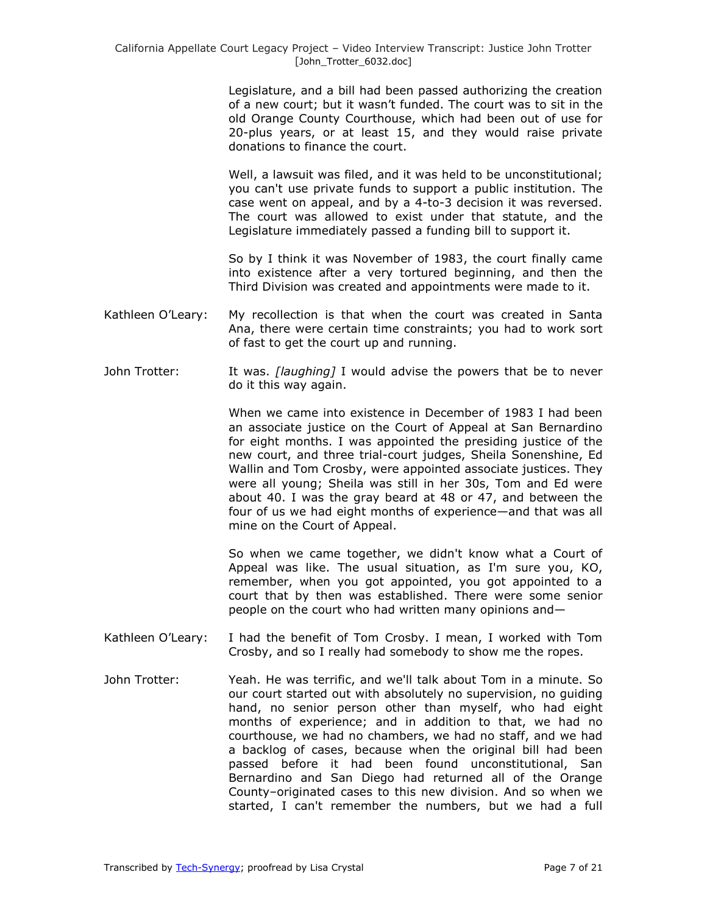Legislature, and a bill had been passed authorizing the creation of a new court; but it wasn't funded. The court was to sit in the old Orange County Courthouse, which had been out of use for 20-plus years, or at least 15, and they would raise private donations to finance the court.

Well, a lawsuit was filed, and it was held to be unconstitutional; you can't use private funds to support a public institution. The case went on appeal, and by a 4-to-3 decision it was reversed. The court was allowed to exist under that statute, and the Legislature immediately passed a funding bill to support it.

So by I think it was November of 1983, the court finally came into existence after a very tortured beginning, and then the Third Division was created and appointments were made to it.

- Kathleen O'Leary: My recollection is that when the court was created in Santa Ana, there were certain time constraints; you had to work sort of fast to get the court up and running.
- John Trotter: It was. *[laughing]* I would advise the powers that be to never do it this way again.

When we came into existence in December of 1983 I had been an associate justice on the Court of Appeal at San Bernardino for eight months. I was appointed the presiding justice of the new court, and three trial-court judges, Sheila Sonenshine, Ed Wallin and Tom Crosby, were appointed associate justices. They were all young; Sheila was still in her 30s, Tom and Ed were about 40. I was the gray beard at 48 or 47, and between the four of us we had eight months of experience—and that was all mine on the Court of Appeal.

So when we came together, we didn't know what a Court of Appeal was like. The usual situation, as I'm sure you, KO, remember, when you got appointed, you got appointed to a court that by then was established. There were some senior people on the court who had written many opinions and—

- Kathleen O'Leary: I had the benefit of Tom Crosby. I mean, I worked with Tom Crosby, and so I really had somebody to show me the ropes.
- John Trotter: Yeah. He was terrific, and we'll talk about Tom in a minute. So our court started out with absolutely no supervision, no guiding hand, no senior person other than myself, who had eight months of experience; and in addition to that, we had no courthouse, we had no chambers, we had no staff, and we had a backlog of cases, because when the original bill had been passed before it had been found unconstitutional, San Bernardino and San Diego had returned all of the Orange County–originated cases to this new division. And so when we started, I can't remember the numbers, but we had a full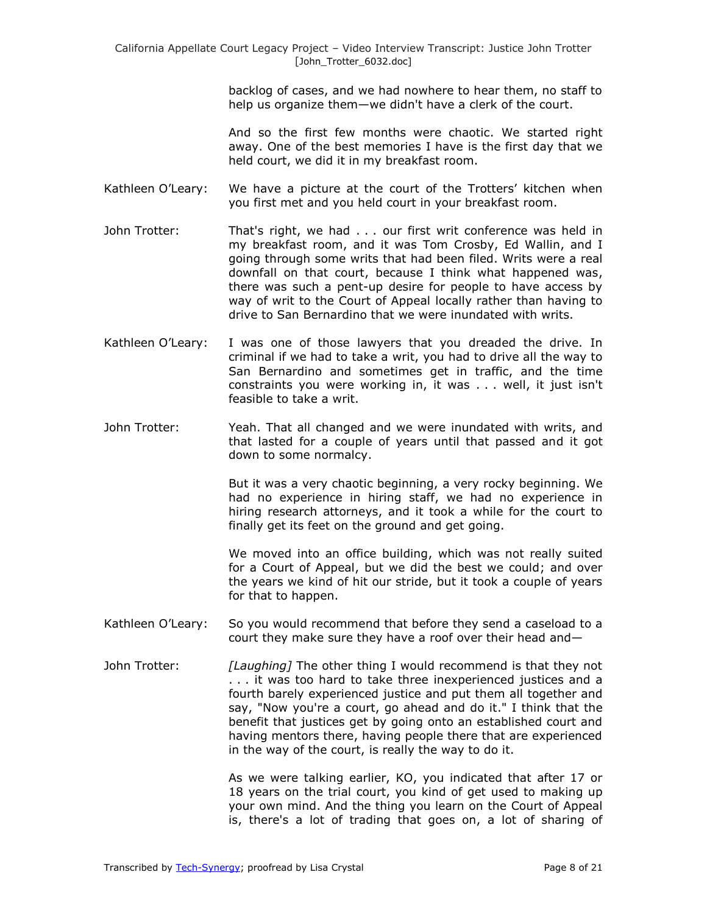backlog of cases, and we had nowhere to hear them, no staff to help us organize them—we didn't have a clerk of the court.

And so the first few months were chaotic. We started right away. One of the best memories I have is the first day that we held court, we did it in my breakfast room.

- Kathleen O'Leary: We have a picture at the court of the Trotters' kitchen when you first met and you held court in your breakfast room.
- John Trotter: That's right, we had . . . our first writ conference was held in my breakfast room, and it was Tom Crosby, Ed Wallin, and I going through some writs that had been filed. Writs were a real downfall on that court, because I think what happened was, there was such a pent-up desire for people to have access by way of writ to the Court of Appeal locally rather than having to drive to San Bernardino that we were inundated with writs.
- Kathleen O'Leary: I was one of those lawyers that you dreaded the drive. In criminal if we had to take a writ, you had to drive all the way to San Bernardino and sometimes get in traffic, and the time constraints you were working in, it was . . . well, it just isn't feasible to take a writ.
- John Trotter: Yeah. That all changed and we were inundated with writs, and that lasted for a couple of years until that passed and it got down to some normalcy.

But it was a very chaotic beginning, a very rocky beginning. We had no experience in hiring staff, we had no experience in hiring research attorneys, and it took a while for the court to finally get its feet on the ground and get going.

We moved into an office building, which was not really suited for a Court of Appeal, but we did the best we could; and over the years we kind of hit our stride, but it took a couple of years for that to happen.

- Kathleen O'Leary: So you would recommend that before they send a caseload to a court they make sure they have a roof over their head and—
- John Trotter: *[Laughing]* The other thing I would recommend is that they not . . . it was too hard to take three inexperienced justices and a fourth barely experienced justice and put them all together and say, "Now you're a court, go ahead and do it." I think that the benefit that justices get by going onto an established court and having mentors there, having people there that are experienced in the way of the court, is really the way to do it.

As we were talking earlier, KO, you indicated that after 17 or 18 years on the trial court, you kind of get used to making up your own mind. And the thing you learn on the Court of Appeal is, there's a lot of trading that goes on, a lot of sharing of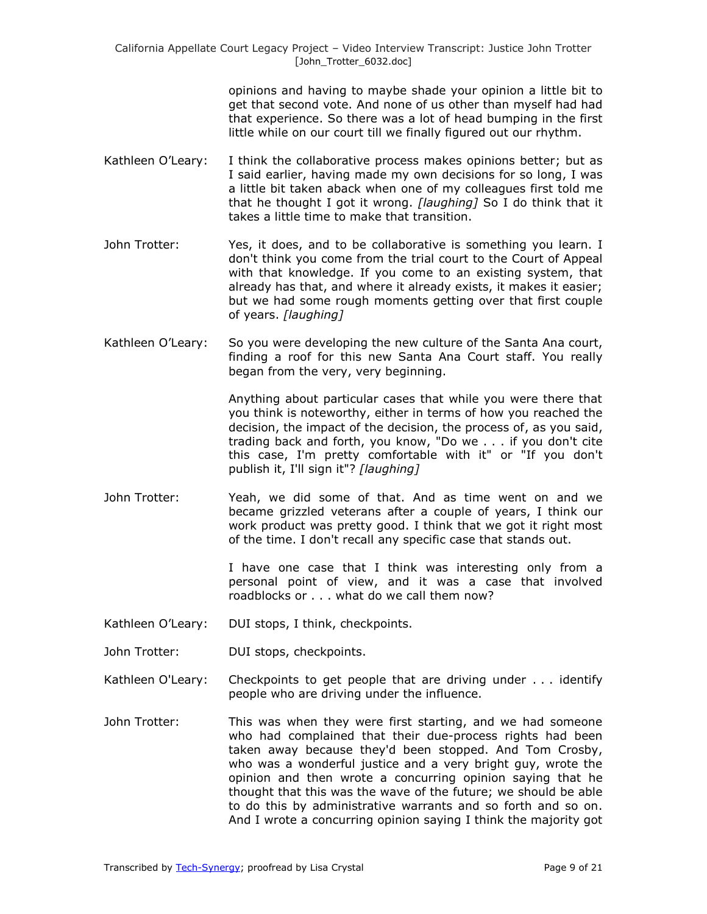opinions and having to maybe shade your opinion a little bit to get that second vote. And none of us other than myself had had that experience. So there was a lot of head bumping in the first little while on our court till we finally figured out our rhythm.

- Kathleen O'Leary: I think the collaborative process makes opinions better; but as I said earlier, having made my own decisions for so long, I was a little bit taken aback when one of my colleagues first told me that he thought I got it wrong. *[laughing]* So I do think that it takes a little time to make that transition.
- John Trotter: Yes, it does, and to be collaborative is something you learn. I don't think you come from the trial court to the Court of Appeal with that knowledge. If you come to an existing system, that already has that, and where it already exists, it makes it easier; but we had some rough moments getting over that first couple of years. *[laughing]*
- Kathleen O'Leary: So you were developing the new culture of the Santa Ana court, finding a roof for this new Santa Ana Court staff. You really began from the very, very beginning.

Anything about particular cases that while you were there that you think is noteworthy, either in terms of how you reached the decision, the impact of the decision, the process of, as you said, trading back and forth, you know, "Do we . . . if you don't cite this case, I'm pretty comfortable with it" or "If you don't publish it, I'll sign it"? *[laughing]*

John Trotter: Yeah, we did some of that. And as time went on and we became grizzled veterans after a couple of years, I think our work product was pretty good. I think that we got it right most of the time. I don't recall any specific case that stands out.

> I have one case that I think was interesting only from a personal point of view, and it was a case that involved roadblocks or . . . what do we call them now?

- Kathleen O'Leary: DUI stops, I think, checkpoints.
- John Trotter: DUI stops, checkpoints.
- Kathleen O'Leary: Checkpoints to get people that are driving under . . . identify people who are driving under the influence.
- John Trotter: This was when they were first starting, and we had someone who had complained that their due-process rights had been taken away because they'd been stopped. And Tom Crosby, who was a wonderful justice and a very bright guy, wrote the opinion and then wrote a concurring opinion saying that he thought that this was the wave of the future; we should be able to do this by administrative warrants and so forth and so on. And I wrote a concurring opinion saying I think the majority got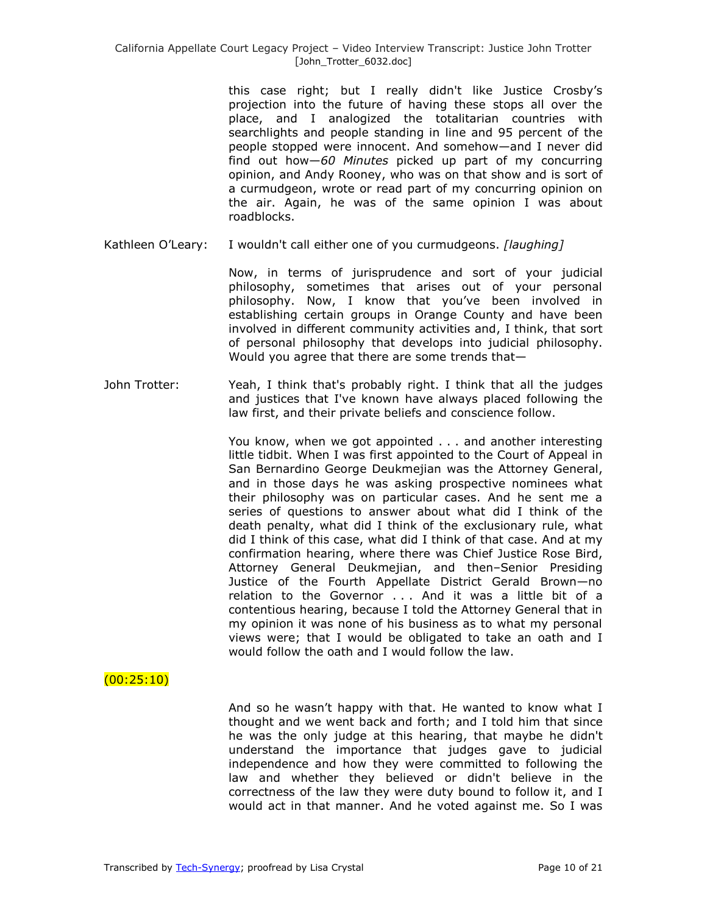this case right; but I really didn't like Justice Crosby's projection into the future of having these stops all over the place, and I analogized the totalitarian countries with searchlights and people standing in line and 95 percent of the people stopped were innocent. And somehow—and I never did find out how—*60 Minutes* picked up part of my concurring opinion, and Andy Rooney, who was on that show and is sort of a curmudgeon, wrote or read part of my concurring opinion on the air. Again, he was of the same opinion I was about roadblocks.

Kathleen O'Leary: I wouldn't call either one of you curmudgeons. *[laughing]*

Now, in terms of jurisprudence and sort of your judicial philosophy, sometimes that arises out of your personal philosophy. Now, I know that you've been involved in establishing certain groups in Orange County and have been involved in different community activities and, I think, that sort of personal philosophy that develops into judicial philosophy. Would you agree that there are some trends that—

John Trotter: Yeah, I think that's probably right. I think that all the judges and justices that I've known have always placed following the law first, and their private beliefs and conscience follow.

> You know, when we got appointed . . . and another interesting little tidbit. When I was first appointed to the Court of Appeal in San Bernardino George Deukmejian was the Attorney General, and in those days he was asking prospective nominees what their philosophy was on particular cases. And he sent me a series of questions to answer about what did I think of the death penalty, what did I think of the exclusionary rule, what did I think of this case, what did I think of that case. And at my confirmation hearing, where there was Chief Justice Rose Bird, Attorney General Deukmejian, and then–Senior Presiding Justice of the Fourth Appellate District Gerald Brown—no relation to the Governor . . . And it was a little bit of a contentious hearing, because I told the Attorney General that in my opinion it was none of his business as to what my personal views were; that I would be obligated to take an oath and I would follow the oath and I would follow the law.

## $(00:25:10)$

And so he wasn't happy with that. He wanted to know what I thought and we went back and forth; and I told him that since he was the only judge at this hearing, that maybe he didn't understand the importance that judges gave to judicial independence and how they were committed to following the law and whether they believed or didn't believe in the correctness of the law they were duty bound to follow it, and I would act in that manner. And he voted against me. So I was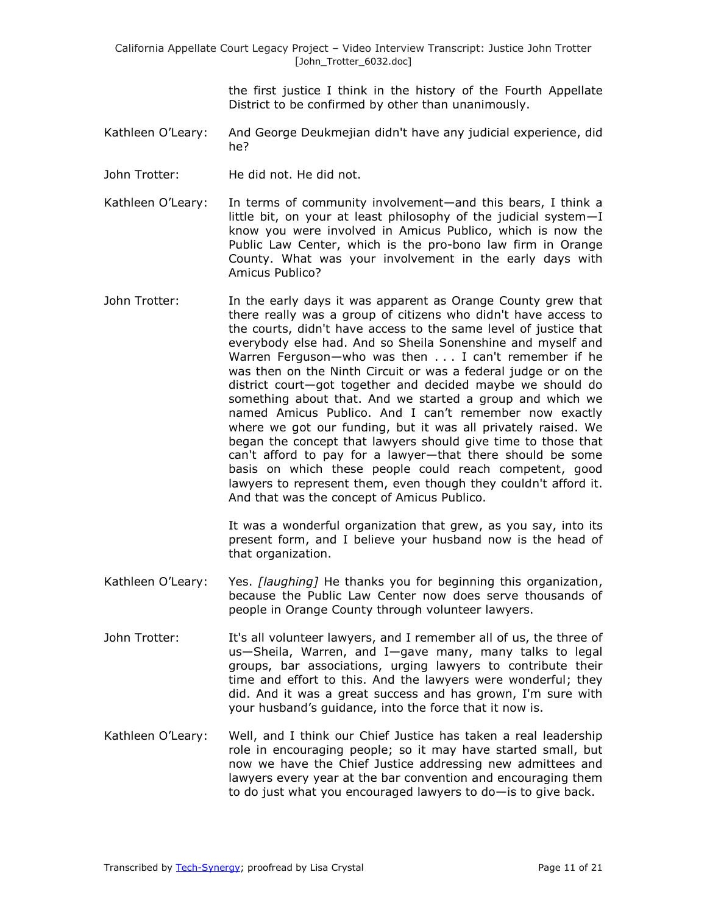the first justice I think in the history of the Fourth Appellate District to be confirmed by other than unanimously.

- Kathleen O'Leary: And George Deukmejian didn't have any judicial experience, did he?
- John Trotter: He did not. He did not.
- Kathleen O'Leary: In terms of community involvement—and this bears, I think a little bit, on your at least philosophy of the judicial system—I know you were involved in Amicus Publico, which is now the Public Law Center, which is the pro-bono law firm in Orange County. What was your involvement in the early days with Amicus Publico?
- John Trotter: In the early days it was apparent as Orange County grew that there really was a group of citizens who didn't have access to the courts, didn't have access to the same level of justice that everybody else had. And so Sheila Sonenshine and myself and Warren Ferguson—who was then . . . I can't remember if he was then on the Ninth Circuit or was a federal judge or on the district court—got together and decided maybe we should do something about that. And we started a group and which we named Amicus Publico. And I can't remember now exactly where we got our funding, but it was all privately raised. We began the concept that lawyers should give time to those that can't afford to pay for a lawyer—that there should be some basis on which these people could reach competent, good lawyers to represent them, even though they couldn't afford it. And that was the concept of Amicus Publico.

It was a wonderful organization that grew, as you say, into its present form, and I believe your husband now is the head of that organization.

- Kathleen O'Leary: Yes. *[laughing]* He thanks you for beginning this organization, because the Public Law Center now does serve thousands of people in Orange County through volunteer lawyers.
- John Trotter: It's all volunteer lawyers, and I remember all of us, the three of us—Sheila, Warren, and I—gave many, many talks to legal groups, bar associations, urging lawyers to contribute their time and effort to this. And the lawyers were wonderful; they did. And it was a great success and has grown, I'm sure with your husband's guidance, into the force that it now is.
- Kathleen O'Leary: Well, and I think our Chief Justice has taken a real leadership role in encouraging people; so it may have started small, but now we have the Chief Justice addressing new admittees and lawyers every year at the bar convention and encouraging them to do just what you encouraged lawyers to do—is to give back.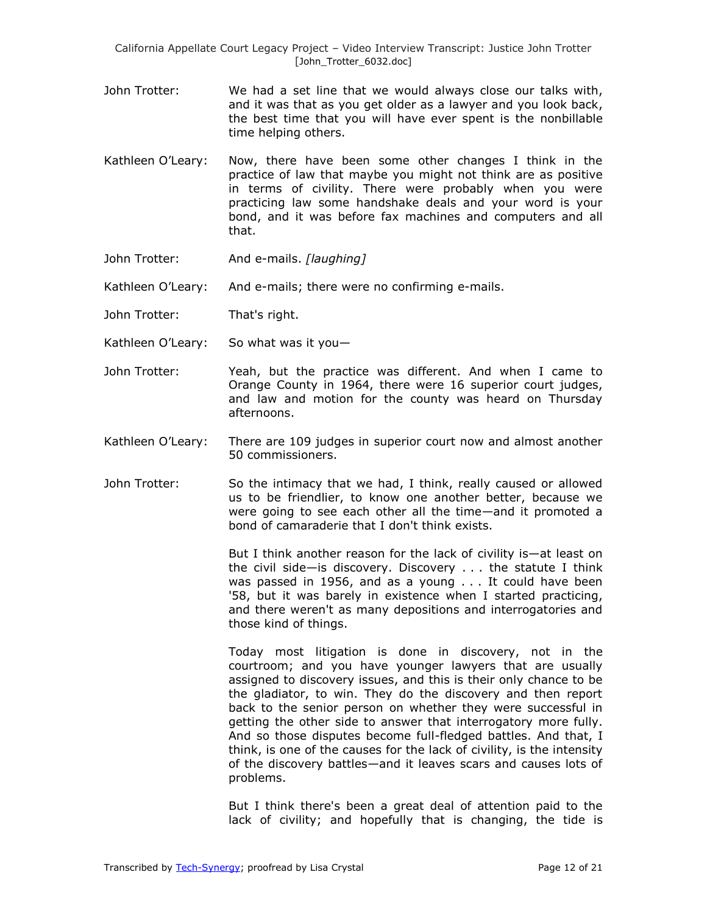- John Trotter: We had a set line that we would always close our talks with, and it was that as you get older as a lawyer and you look back, the best time that you will have ever spent is the nonbillable time helping others.
- Kathleen O'Leary: Now, there have been some other changes I think in the practice of law that maybe you might not think are as positive in terms of civility. There were probably when you were practicing law some handshake deals and your word is your bond, and it was before fax machines and computers and all that.
- John Trotter: And e-mails. *[laughing]*

Kathleen O'Leary: And e-mails; there were no confirming e-mails.

- John Trotter: That's right.
- Kathleen O'Leary: So what was it you—
- John Trotter: Yeah, but the practice was different. And when I came to Orange County in 1964, there were 16 superior court judges, and law and motion for the county was heard on Thursday afternoons.
- Kathleen O'Leary: There are 109 judges in superior court now and almost another 50 commissioners.
- John Trotter: So the intimacy that we had, I think, really caused or allowed us to be friendlier, to know one another better, because we were going to see each other all the time—and it promoted a bond of camaraderie that I don't think exists.

But I think another reason for the lack of civility is—at least on the civil side—is discovery. Discovery . . . the statute I think was passed in 1956, and as a young . . . It could have been '58, but it was barely in existence when I started practicing, and there weren't as many depositions and interrogatories and those kind of things.

Today most litigation is done in discovery, not in the courtroom; and you have younger lawyers that are usually assigned to discovery issues, and this is their only chance to be the gladiator, to win. They do the discovery and then report back to the senior person on whether they were successful in getting the other side to answer that interrogatory more fully. And so those disputes become full-fledged battles. And that, I think, is one of the causes for the lack of civility, is the intensity of the discovery battles—and it leaves scars and causes lots of problems.

But I think there's been a great deal of attention paid to the lack of civility; and hopefully that is changing, the tide is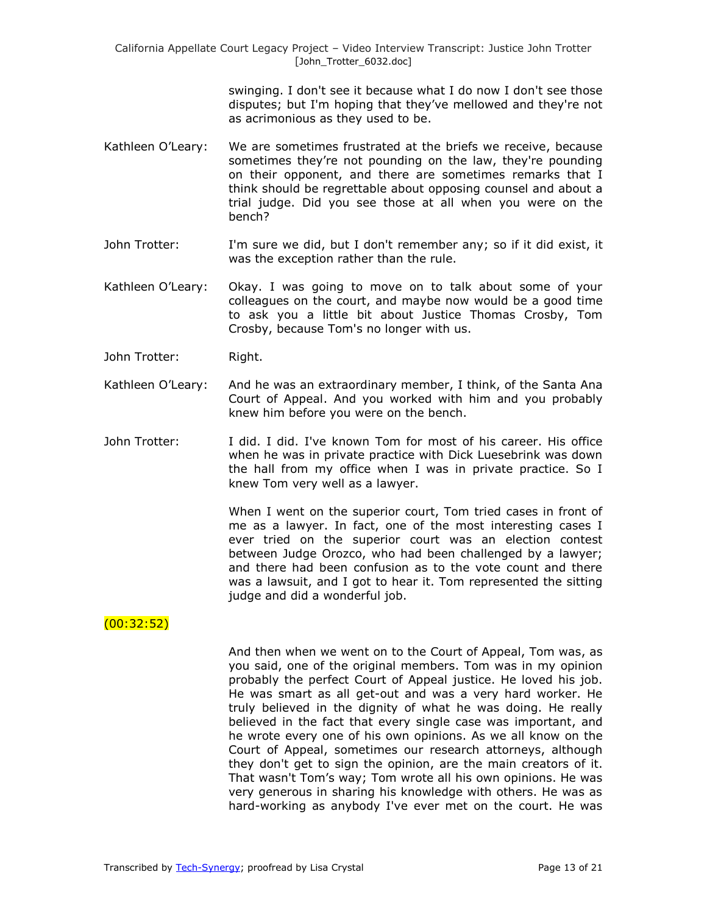> swinging. I don't see it because what I do now I don't see those disputes; but I'm hoping that they've mellowed and they're not as acrimonious as they used to be.

- Kathleen O'Leary: We are sometimes frustrated at the briefs we receive, because sometimes they're not pounding on the law, they're pounding on their opponent, and there are sometimes remarks that I think should be regrettable about opposing counsel and about a trial judge. Did you see those at all when you were on the bench?
- John Trotter: I'm sure we did, but I don't remember any; so if it did exist, it was the exception rather than the rule.
- Kathleen O'Leary: Okay. I was going to move on to talk about some of your colleagues on the court, and maybe now would be a good time to ask you a little bit about Justice Thomas Crosby, Tom Crosby, because Tom's no longer with us.
- John Trotter: Right.
- Kathleen O'Leary: And he was an extraordinary member, I think, of the Santa Ana Court of Appeal. And you worked with him and you probably knew him before you were on the bench.
- John Trotter: I did. I did. I've known Tom for most of his career. His office when he was in private practice with Dick Luesebrink was down the hall from my office when I was in private practice. So I knew Tom very well as a lawyer.

When I went on the superior court, Tom tried cases in front of me as a lawyer. In fact, one of the most interesting cases I ever tried on the superior court was an election contest between Judge Orozco, who had been challenged by a lawyer; and there had been confusion as to the vote count and there was a lawsuit, and I got to hear it. Tom represented the sitting judge and did a wonderful job.

#### $(00:32:52)$

And then when we went on to the Court of Appeal, Tom was, as you said, one of the original members. Tom was in my opinion probably the perfect Court of Appeal justice. He loved his job. He was smart as all get-out and was a very hard worker. He truly believed in the dignity of what he was doing. He really believed in the fact that every single case was important, and he wrote every one of his own opinions. As we all know on the Court of Appeal, sometimes our research attorneys, although they don't get to sign the opinion, are the main creators of it. That wasn't Tom's way; Tom wrote all his own opinions. He was very generous in sharing his knowledge with others. He was as hard-working as anybody I've ever met on the court. He was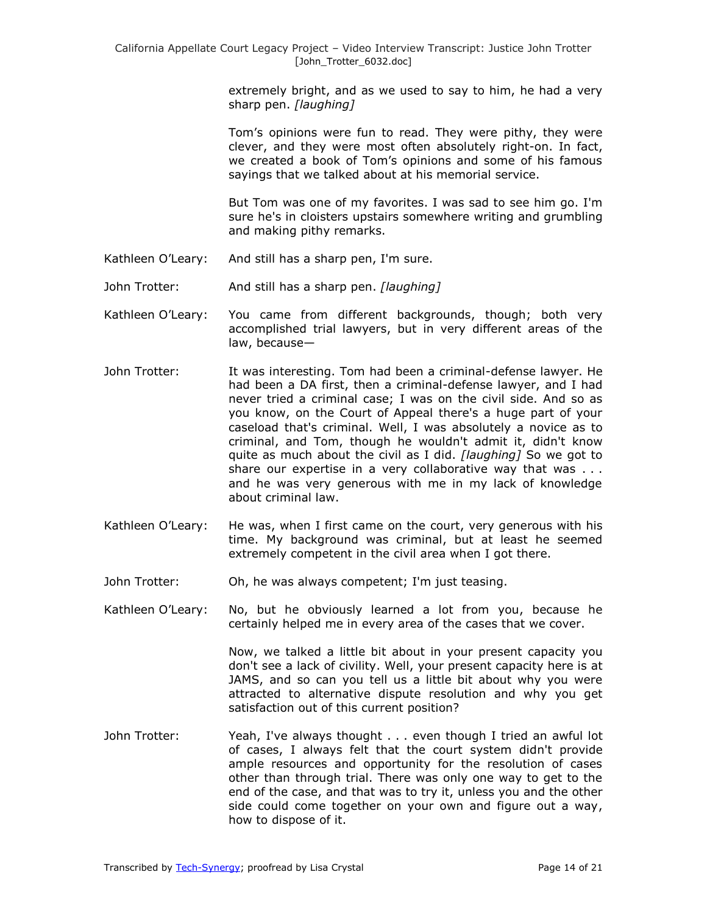extremely bright, and as we used to say to him, he had a very sharp pen. *[laughing]*

Tom's opinions were fun to read. They were pithy, they were clever, and they were most often absolutely right-on. In fact, we created a book of Tom's opinions and some of his famous sayings that we talked about at his memorial service.

But Tom was one of my favorites. I was sad to see him go. I'm sure he's in cloisters upstairs somewhere writing and grumbling and making pithy remarks.

- Kathleen O'Leary: And still has a sharp pen, I'm sure.
- John Trotter: And still has a sharp pen. *[laughing]*
- Kathleen O'Leary: You came from different backgrounds, though; both very accomplished trial lawyers, but in very different areas of the law, because—
- John Trotter: It was interesting. Tom had been a criminal-defense lawyer. He had been a DA first, then a criminal-defense lawyer, and I had never tried a criminal case; I was on the civil side. And so as you know, on the Court of Appeal there's a huge part of your caseload that's criminal. Well, I was absolutely a novice as to criminal, and Tom, though he wouldn't admit it, didn't know quite as much about the civil as I did. *[laughing]* So we got to share our expertise in a very collaborative way that was . . . and he was very generous with me in my lack of knowledge about criminal law.
- Kathleen O'Leary: He was, when I first came on the court, very generous with his time. My background was criminal, but at least he seemed extremely competent in the civil area when I got there.
- John Trotter: Oh, he was always competent; I'm just teasing.

Kathleen O'Leary: No, but he obviously learned a lot from you, because he certainly helped me in every area of the cases that we cover.

> Now, we talked a little bit about in your present capacity you don't see a lack of civility. Well, your present capacity here is at JAMS, and so can you tell us a little bit about why you were attracted to alternative dispute resolution and why you get satisfaction out of this current position?

John Trotter: Yeah, I've always thought . . . even though I tried an awful lot of cases, I always felt that the court system didn't provide ample resources and opportunity for the resolution of cases other than through trial. There was only one way to get to the end of the case, and that was to try it, unless you and the other side could come together on your own and figure out a way, how to dispose of it.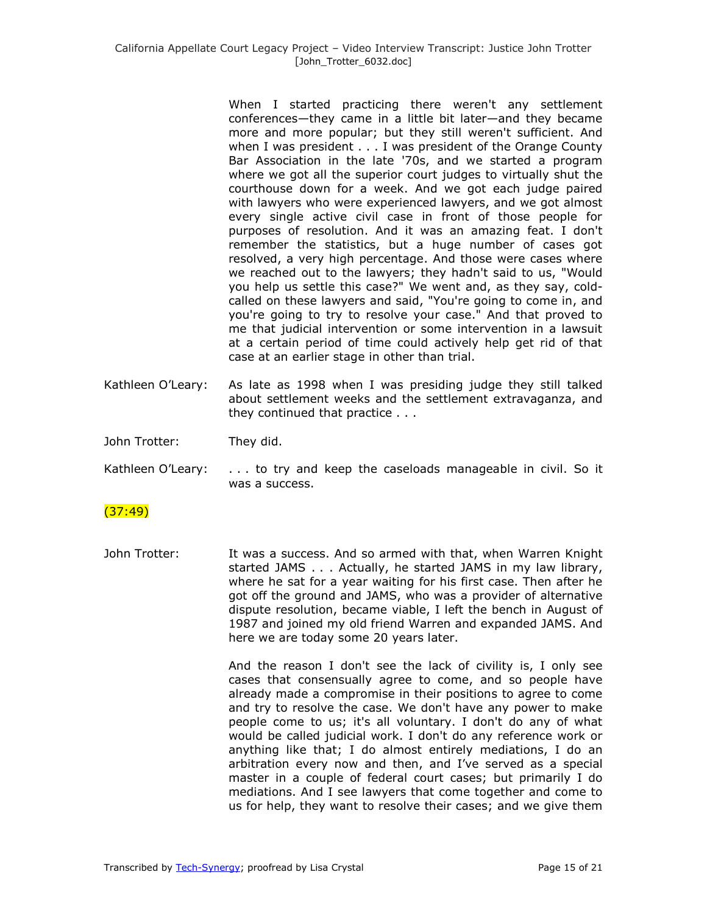When I started practicing there weren't any settlement conferences—they came in a little bit later—and they became more and more popular; but they still weren't sufficient. And when I was president . . . I was president of the Orange County Bar Association in the late '70s, and we started a program where we got all the superior court judges to virtually shut the courthouse down for a week. And we got each judge paired with lawyers who were experienced lawyers, and we got almost every single active civil case in front of those people for purposes of resolution. And it was an amazing feat. I don't remember the statistics, but a huge number of cases got resolved, a very high percentage. And those were cases where we reached out to the lawyers; they hadn't said to us, "Would you help us settle this case?" We went and, as they say, coldcalled on these lawyers and said, "You're going to come in, and you're going to try to resolve your case." And that proved to me that judicial intervention or some intervention in a lawsuit at a certain period of time could actively help get rid of that case at an earlier stage in other than trial.

Kathleen O'Leary: As late as 1998 when I was presiding judge they still talked about settlement weeks and the settlement extravaganza, and they continued that practice . . .

John Trotter: They did.

Kathleen O'Leary:  $\dots$  to try and keep the caseloads manageable in civil. So it was a success.

# $(37:49)$

John Trotter: It was a success. And so armed with that, when Warren Knight started JAMS . . . Actually, he started JAMS in my law library, where he sat for a year waiting for his first case. Then after he got off the ground and JAMS, who was a provider of alternative dispute resolution, became viable, I left the bench in August of 1987 and joined my old friend Warren and expanded JAMS. And here we are today some 20 years later.

> And the reason I don't see the lack of civility is, I only see cases that consensually agree to come, and so people have already made a compromise in their positions to agree to come and try to resolve the case. We don't have any power to make people come to us; it's all voluntary. I don't do any of what would be called judicial work. I don't do any reference work or anything like that; I do almost entirely mediations, I do an arbitration every now and then, and I've served as a special master in a couple of federal court cases; but primarily I do mediations. And I see lawyers that come together and come to us for help, they want to resolve their cases; and we give them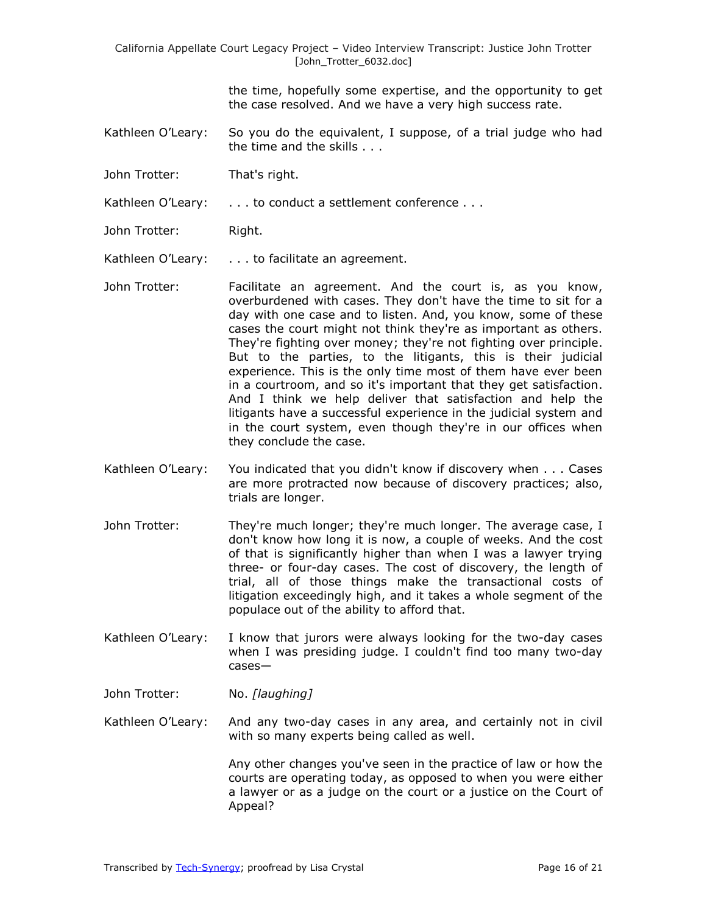the time, hopefully some expertise, and the opportunity to get the case resolved. And we have a very high success rate.

- Kathleen O'Leary: So you do the equivalent, I suppose, of a trial judge who had the time and the skills . . .
- John Trotter: That's right.

Kathleen O'Leary: . . . . to conduct a settlement conference . . .

John Trotter: Right.

Kathleen O'Leary: . . . to facilitate an agreement.

- John Trotter: Facilitate an agreement. And the court is, as you know, overburdened with cases. They don't have the time to sit for a day with one case and to listen. And, you know, some of these cases the court might not think they're as important as others. They're fighting over money; they're not fighting over principle. But to the parties, to the litigants, this is their judicial experience. This is the only time most of them have ever been in a courtroom, and so it's important that they get satisfaction. And I think we help deliver that satisfaction and help the litigants have a successful experience in the judicial system and in the court system, even though they're in our offices when they conclude the case.
- Kathleen O'Leary: You indicated that you didn't know if discovery when . . . Cases are more protracted now because of discovery practices; also, trials are longer.
- John Trotter: They're much longer; they're much longer. The average case, I don't know how long it is now, a couple of weeks. And the cost of that is significantly higher than when I was a lawyer trying three- or four-day cases. The cost of discovery, the length of trial, all of those things make the transactional costs of litigation exceedingly high, and it takes a whole segment of the populace out of the ability to afford that.
- Kathleen O'Leary: I know that jurors were always looking for the two-day cases when I was presiding judge. I couldn't find too many two-day cases—
- John Trotter: No. *[laughing]*
- Kathleen O'Leary: And any two-day cases in any area, and certainly not in civil with so many experts being called as well.

Any other changes you've seen in the practice of law or how the courts are operating today, as opposed to when you were either a lawyer or as a judge on the court or a justice on the Court of Appeal?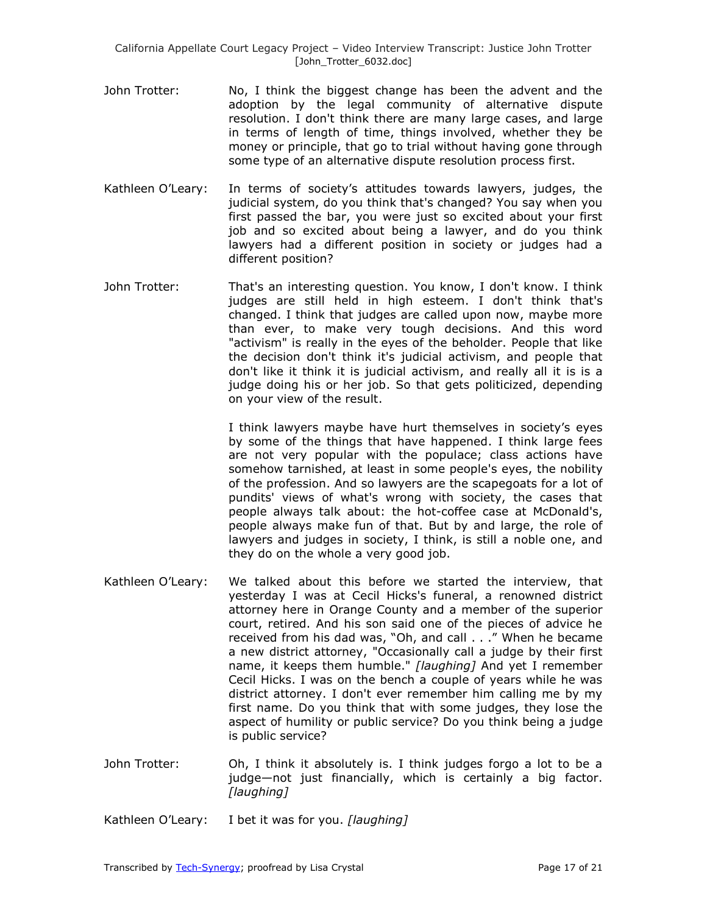- John Trotter: No, I think the biggest change has been the advent and the adoption by the legal community of alternative dispute resolution. I don't think there are many large cases, and large in terms of length of time, things involved, whether they be money or principle, that go to trial without having gone through some type of an alternative dispute resolution process first.
- Kathleen O'Leary: In terms of society's attitudes towards lawyers, judges, the judicial system, do you think that's changed? You say when you first passed the bar, you were just so excited about your first job and so excited about being a lawyer, and do you think lawyers had a different position in society or judges had a different position?
- John Trotter: That's an interesting question. You know, I don't know. I think judges are still held in high esteem. I don't think that's changed. I think that judges are called upon now, maybe more than ever, to make very tough decisions. And this word "activism" is really in the eyes of the beholder. People that like the decision don't think it's judicial activism, and people that don't like it think it is judicial activism, and really all it is is a judge doing his or her job. So that gets politicized, depending on your view of the result.

I think lawyers maybe have hurt themselves in society's eyes by some of the things that have happened. I think large fees are not very popular with the populace; class actions have somehow tarnished, at least in some people's eyes, the nobility of the profession. And so lawyers are the scapegoats for a lot of pundits' views of what's wrong with society, the cases that people always talk about: the hot-coffee case at McDonald's, people always make fun of that. But by and large, the role of lawyers and judges in society, I think, is still a noble one, and they do on the whole a very good job.

- Kathleen O'Leary: We talked about this before we started the interview, that yesterday I was at Cecil Hicks's funeral, a renowned district attorney here in Orange County and a member of the superior court, retired. And his son said one of the pieces of advice he received from his dad was, "Oh, and call . . ." When he became a new district attorney, "Occasionally call a judge by their first name, it keeps them humble." *[laughing]* And yet I remember Cecil Hicks. I was on the bench a couple of years while he was district attorney. I don't ever remember him calling me by my first name. Do you think that with some judges, they lose the aspect of humility or public service? Do you think being a judge is public service?
- John Trotter: Oh, I think it absolutely is. I think judges forgo a lot to be a judge—not just financially, which is certainly a big factor. *[laughing]*
- Kathleen O'Leary: I bet it was for you. *[laughing]*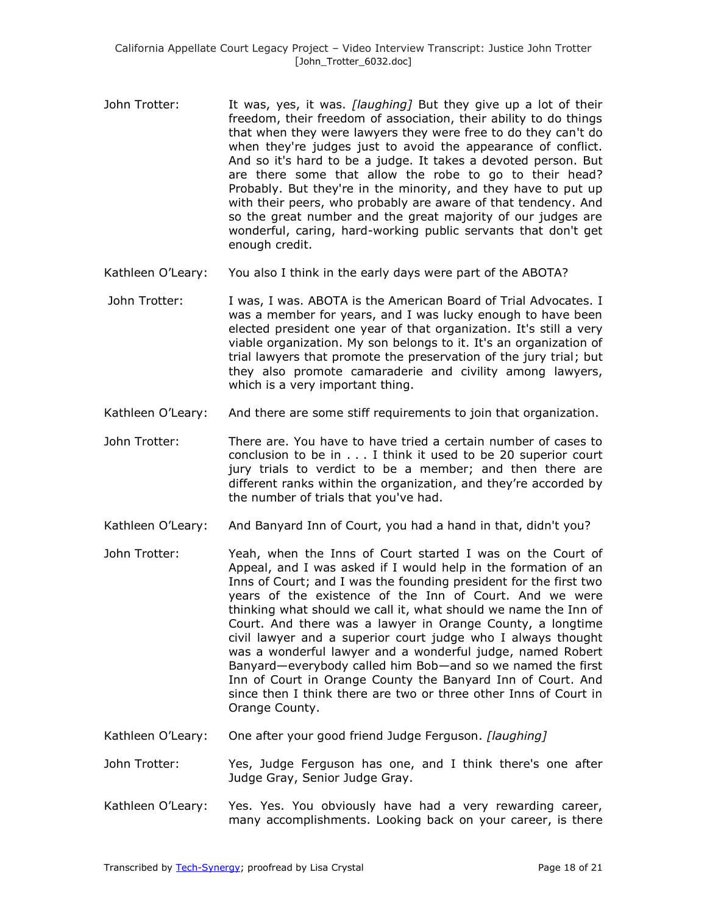- John Trotter: It was, yes, it was. *[laughing]* But they give up a lot of their freedom, their freedom of association, their ability to do things that when they were lawyers they were free to do they can't do when they're judges just to avoid the appearance of conflict. And so it's hard to be a judge. It takes a devoted person. But are there some that allow the robe to go to their head? Probably. But they're in the minority, and they have to put up with their peers, who probably are aware of that tendency. And so the great number and the great majority of our judges are wonderful, caring, hard-working public servants that don't get enough credit.
- Kathleen O'Leary: You also I think in the early days were part of the ABOTA?
- John Trotter: I was, I was. ABOTA is the American Board of Trial Advocates. I was a member for years, and I was lucky enough to have been elected president one year of that organization. It's still a very viable organization. My son belongs to it. It's an organization of trial lawyers that promote the preservation of the jury trial; but they also promote camaraderie and civility among lawyers, which is a very important thing.
- Kathleen O'Leary: And there are some stiff requirements to join that organization.
- John Trotter: There are. You have to have tried a certain number of cases to conclusion to be in . . . I think it used to be 20 superior court jury trials to verdict to be a member; and then there are different ranks within the organization, and they're accorded by the number of trials that you've had.
- Kathleen O'Leary: And Banyard Inn of Court, you had a hand in that, didn't you?
- John Trotter: Yeah, when the Inns of Court started I was on the Court of Appeal, and I was asked if I would help in the formation of an Inns of Court; and I was the founding president for the first two years of the existence of the Inn of Court. And we were thinking what should we call it, what should we name the Inn of Court. And there was a lawyer in Orange County, a longtime civil lawyer and a superior court judge who I always thought was a wonderful lawyer and a wonderful judge, named Robert Banyard—everybody called him Bob—and so we named the first Inn of Court in Orange County the Banyard Inn of Court. And since then I think there are two or three other Inns of Court in Orange County.
- Kathleen O'Leary: One after your good friend Judge Ferguson. *[laughing]*
- John Trotter: Yes, Judge Ferguson has one, and I think there's one after Judge Gray, Senior Judge Gray.
- Kathleen O'Leary: Yes. Yes. You obviously have had a very rewarding career, many accomplishments. Looking back on your career, is there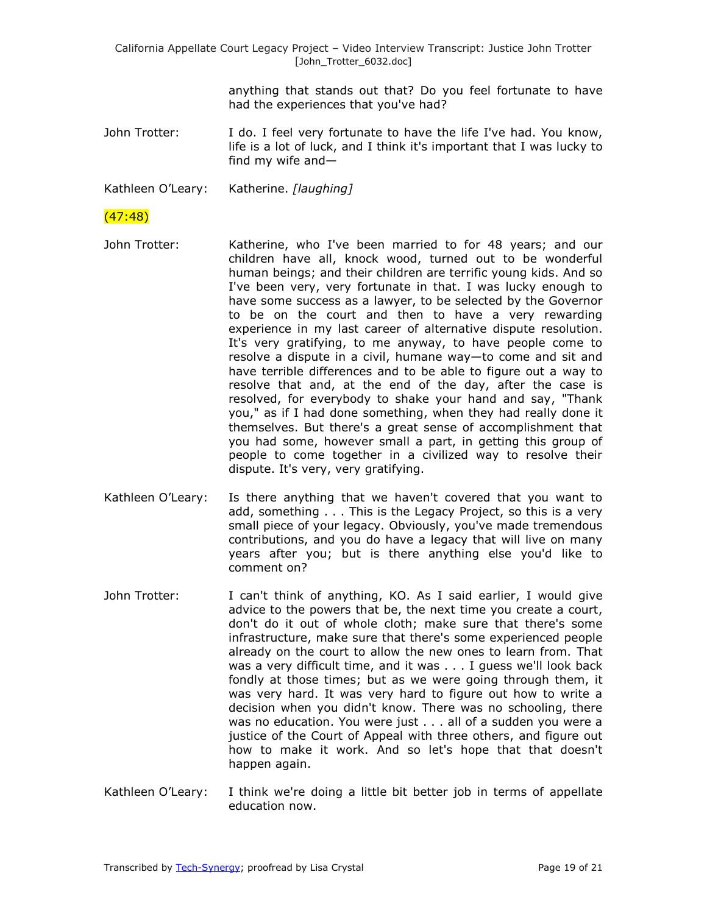> anything that stands out that? Do you feel fortunate to have had the experiences that you've had?

John Trotter: I do. I feel very fortunate to have the life I've had. You know, life is a lot of luck, and I think it's important that I was lucky to find my wife and—

Kathleen O'Leary: Katherine. *[laughing]*

## (47:48)

- John Trotter: Katherine, who I've been married to for 48 years; and our children have all, knock wood, turned out to be wonderful human beings; and their children are terrific young kids. And so I've been very, very fortunate in that. I was lucky enough to have some success as a lawyer, to be selected by the Governor to be on the court and then to have a very rewarding experience in my last career of alternative dispute resolution. It's very gratifying, to me anyway, to have people come to resolve a dispute in a civil, humane way—to come and sit and have terrible differences and to be able to figure out a way to resolve that and, at the end of the day, after the case is resolved, for everybody to shake your hand and say, "Thank you," as if I had done something, when they had really done it themselves. But there's a great sense of accomplishment that you had some, however small a part, in getting this group of people to come together in a civilized way to resolve their dispute. It's very, very gratifying.
- Kathleen O'Leary: Is there anything that we haven't covered that you want to add, something . . . This is the Legacy Project, so this is a very small piece of your legacy. Obviously, you've made tremendous contributions, and you do have a legacy that will live on many years after you; but is there anything else you'd like to comment on?
- John Trotter: I can't think of anything, KO. As I said earlier, I would give advice to the powers that be, the next time you create a court, don't do it out of whole cloth; make sure that there's some infrastructure, make sure that there's some experienced people already on the court to allow the new ones to learn from. That was a very difficult time, and it was . . . I guess we'll look back fondly at those times; but as we were going through them, it was very hard. It was very hard to figure out how to write a decision when you didn't know. There was no schooling, there was no education. You were just . . . all of a sudden you were a justice of the Court of Appeal with three others, and figure out how to make it work. And so let's hope that that doesn't happen again.
- Kathleen O'Leary: I think we're doing a little bit better job in terms of appellate education now.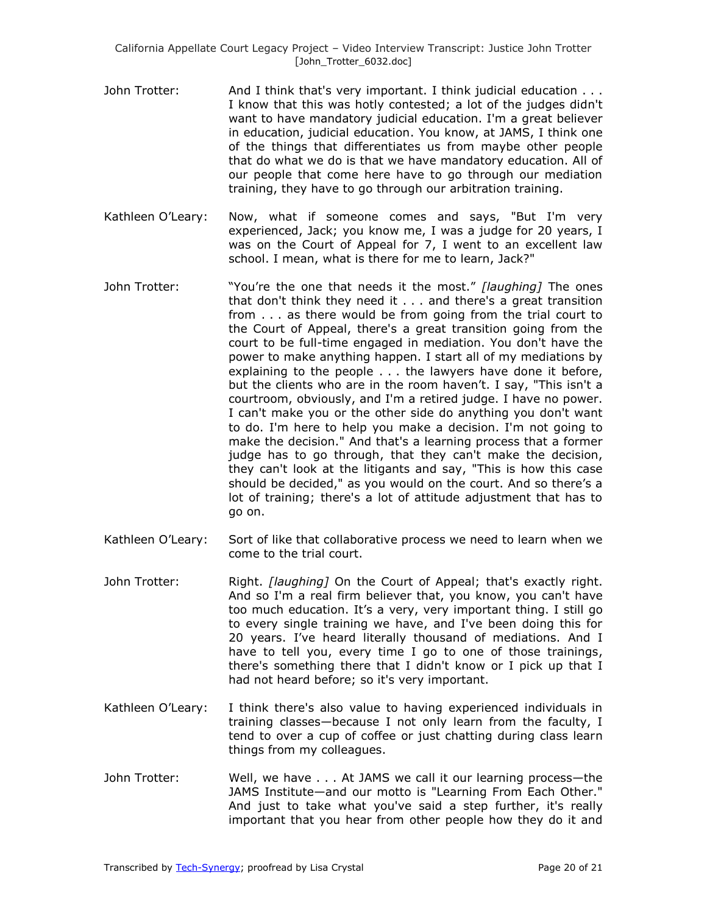- John Trotter: And I think that's very important. I think judicial education . . . I know that this was hotly contested; a lot of the judges didn't want to have mandatory judicial education. I'm a great believer in education, judicial education. You know, at JAMS, I think one of the things that differentiates us from maybe other people that do what we do is that we have mandatory education. All of our people that come here have to go through our mediation training, they have to go through our arbitration training.
- Kathleen O'Leary: Now, what if someone comes and says, "But I'm very experienced, Jack; you know me, I was a judge for 20 years, I was on the Court of Appeal for 7, I went to an excellent law school. I mean, what is there for me to learn, Jack?"
- John Trotter: "You're the one that needs it the most." *[laughing]* The ones that don't think they need it . . . and there's a great transition from . . . as there would be from going from the trial court to the Court of Appeal, there's a great transition going from the court to be full-time engaged in mediation. You don't have the power to make anything happen. I start all of my mediations by explaining to the people . . . the lawyers have done it before, but the clients who are in the room haven't. I say, "This isn't a courtroom, obviously, and I'm a retired judge. I have no power. I can't make you or the other side do anything you don't want to do. I'm here to help you make a decision. I'm not going to make the decision." And that's a learning process that a former judge has to go through, that they can't make the decision, they can't look at the litigants and say, "This is how this case should be decided," as you would on the court. And so there's a lot of training; there's a lot of attitude adjustment that has to go on.
- Kathleen O'Leary: Sort of like that collaborative process we need to learn when we come to the trial court.
- John Trotter: Right. *[laughing]* On the Court of Appeal; that's exactly right. And so I'm a real firm believer that, you know, you can't have too much education. It's a very, very important thing. I still go to every single training we have, and I've been doing this for 20 years. I've heard literally thousand of mediations. And I have to tell you, every time I go to one of those trainings, there's something there that I didn't know or I pick up that I had not heard before; so it's very important.
- Kathleen O'Leary: I think there's also value to having experienced individuals in training classes—because I not only learn from the faculty, I tend to over a cup of coffee or just chatting during class learn things from my colleagues.
- John Trotter: Well, we have . . . At JAMS we call it our learning process—the JAMS Institute—and our motto is "Learning From Each Other." And just to take what you've said a step further, it's really important that you hear from other people how they do it and